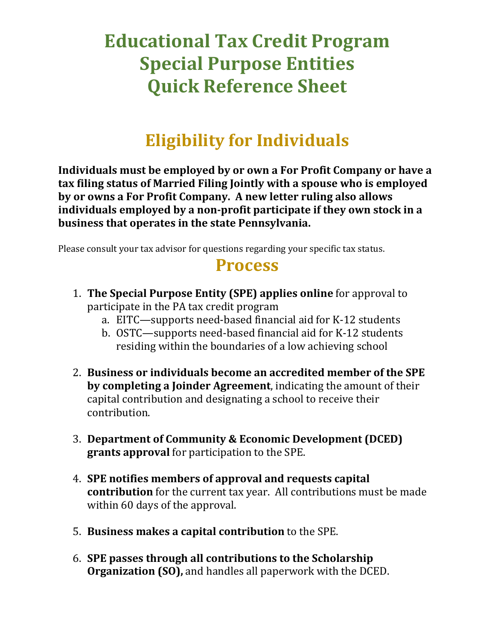## **Educational Tax Credit Program Special Purpose Entities Quick Reference Sheet**

## **Eligibility for Individuals**

**Individuals must be employed by or own a For Profit Company or have a tax filing status of Married Filing Jointly with a spouse who is employed by or owns a For Profit Company. A new letter ruling also allows individuals employed by a non-profit participate if they own stock in a business that operates in the state Pennsylvania.**

Please consult your tax advisor for questions regarding your specific tax status.

## **Process**

- 1. **The Special Purpose Entity (SPE) applies online** for approval to participate in the PA tax credit program
	- a. EITC—supports need-based financial aid for K-12 students
	- b. OSTC—supports need-based financial aid for K-12 students residing within the boundaries of a low achieving school
- 2. **Business or individuals become an accredited member of the SPE by completing a Joinder Agreement**, indicating the amount of their capital contribution and designating a school to receive their contribution.
- 3. **Department of Community & Economic Development (DCED) grants approval** for participation to the SPE.
- 4. **SPE notifies members of approval and requests capital contribution** for the current tax year. All contributions must be made within 60 days of the approval.
- 5. **Business makes a capital contribution** to the SPE.
- 6. **SPE passes through all contributions to the Scholarship Organization (SO),** and handles all paperwork with the DCED.